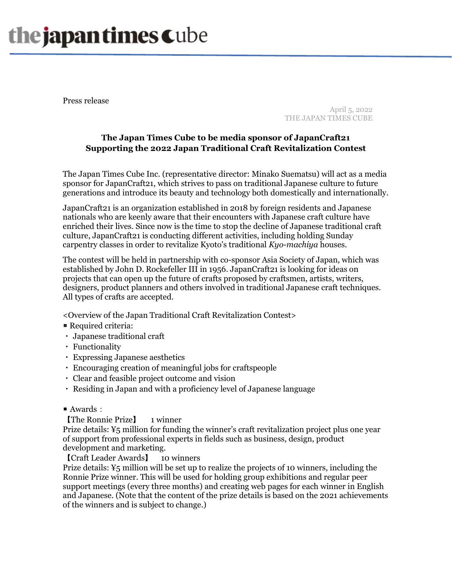## the japan times Cube

Press release

April 5, 2022 THE JAPAN TIMES CUBE

## **The Japan Times Cube to be media sponsor of JapanCraft21 Supporting the 2022 Japan Traditional Craft Revitalization Contest**

The Japan Times Cube Inc. (representative director: Minako Suematsu) will act as a media sponsor for JapanCraft21, which strives to pass on traditional Japanese culture to future generations and introduce its beauty and technology both domestically and internationally.

JapanCraft21 is an organization established in 2018 by foreign residents and Japanese nationals who are keenly aware that their encounters with Japanese craft culture have enriched their lives. Since now is the time to stop the decline of Japanese traditional craft culture, JapanCraft21 is conducting different activities, including holding Sunday carpentry classes in order to revitalize Kyoto's traditional *Kyo-machiya* houses.

The contest will be held in partnership with co-sponsor Asia Society of Japan, which was established by John D. Rockefeller III in 1956. JapanCraft21 is looking for ideas on projects that can open up the future of crafts proposed by craftsmen, artists, writers, designers, product planners and others involved in traditional Japanese craft techniques. All types of crafts are accepted.

<Overview of the Japan Traditional Craft Revitalization Contest>

- Required criteria:
- ・ Japanese traditional craft
- ・ Functionality
- ・ Expressing Japanese aesthetics
- ・ Encouraging creation of meaningful jobs for craftspeople
- ・ Clear and feasible project outcome and vision
- ・ Residing in Japan and with a proficiency level of Japanese language
- $\blacksquare$  Awards:

【The Ronnie Prize】 1 winner

Prize details: ¥5 million for funding the winner's craft revitalization project plus one year of support from professional experts in fields such as business, design, product development and marketing.

【Craft Leader Awards】 10 winners

Prize details: ¥5 million will be set up to realize the projects of 10 winners, including the Ronnie Prize winner. This will be used for holding group exhibitions and regular peer support meetings (every three months) and creating web pages for each winner in English and Japanese. (Note that the content of the prize details is based on the 2021 achievements of the winners and is subject to change.)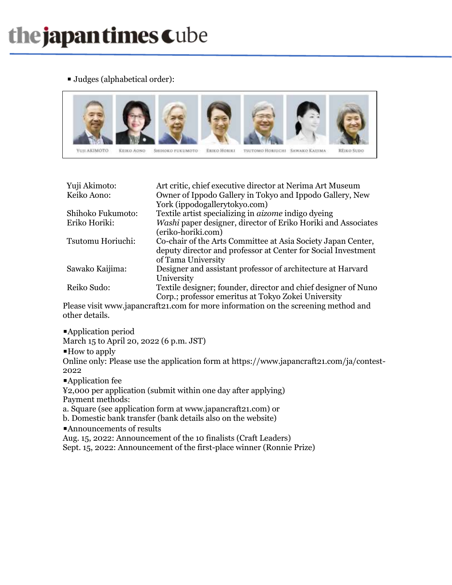■ Judges (alphabetical order):



| Yuji Akimoto:                                                                      | Art critic, chief executive director at Nerima Art Museum      |
|------------------------------------------------------------------------------------|----------------------------------------------------------------|
| Keiko Aono:                                                                        | Owner of Ippodo Gallery in Tokyo and Ippodo Gallery, New       |
|                                                                                    | York (ippodogallerytokyo.com)                                  |
| Shihoko Fukumoto:                                                                  | Textile artist specializing in <i>aizome</i> indigo dyeing     |
| Eriko Horiki:                                                                      | Washi paper designer, director of Eriko Horiki and Associates  |
|                                                                                    | (eriko-horiki.com)                                             |
| Tsutomu Horiuchi:                                                                  | Co-chair of the Arts Committee at Asia Society Japan Center,   |
|                                                                                    | deputy director and professor at Center for Social Investment  |
|                                                                                    | of Tama University                                             |
| Sawako Kaijima:                                                                    | Designer and assistant professor of architecture at Harvard    |
|                                                                                    | University                                                     |
| Reiko Sudo:                                                                        | Textile designer; founder, director and chief designer of Nuno |
|                                                                                    | Corp.; professor emeritus at Tokyo Zokei University            |
| Plasse visit www.japancrafta1.com for more information on the screening method and |                                                                |

Please visit www.japancraft21.com for more information on the screening method and other details.

■Application period

March 15 to April 20, 2022 (6 p.m. JST)

 $\blacksquare$  How to apply

Online only: Please use the application form at https://www.japancraft21.com/ja/contest-2022

■Application fee

¥2,000 per application (submit within one day after applying) Payment methods:

a. Square (see application form at www.japancraft21.com) or

b. Domestic bank transfer (bank details also on the website)

■Announcements of results

Aug. 15, 2022: Announcement of the 10 finalists (Craft Leaders)

Sept. 15, 2022: Announcement of the first-place winner (Ronnie Prize)